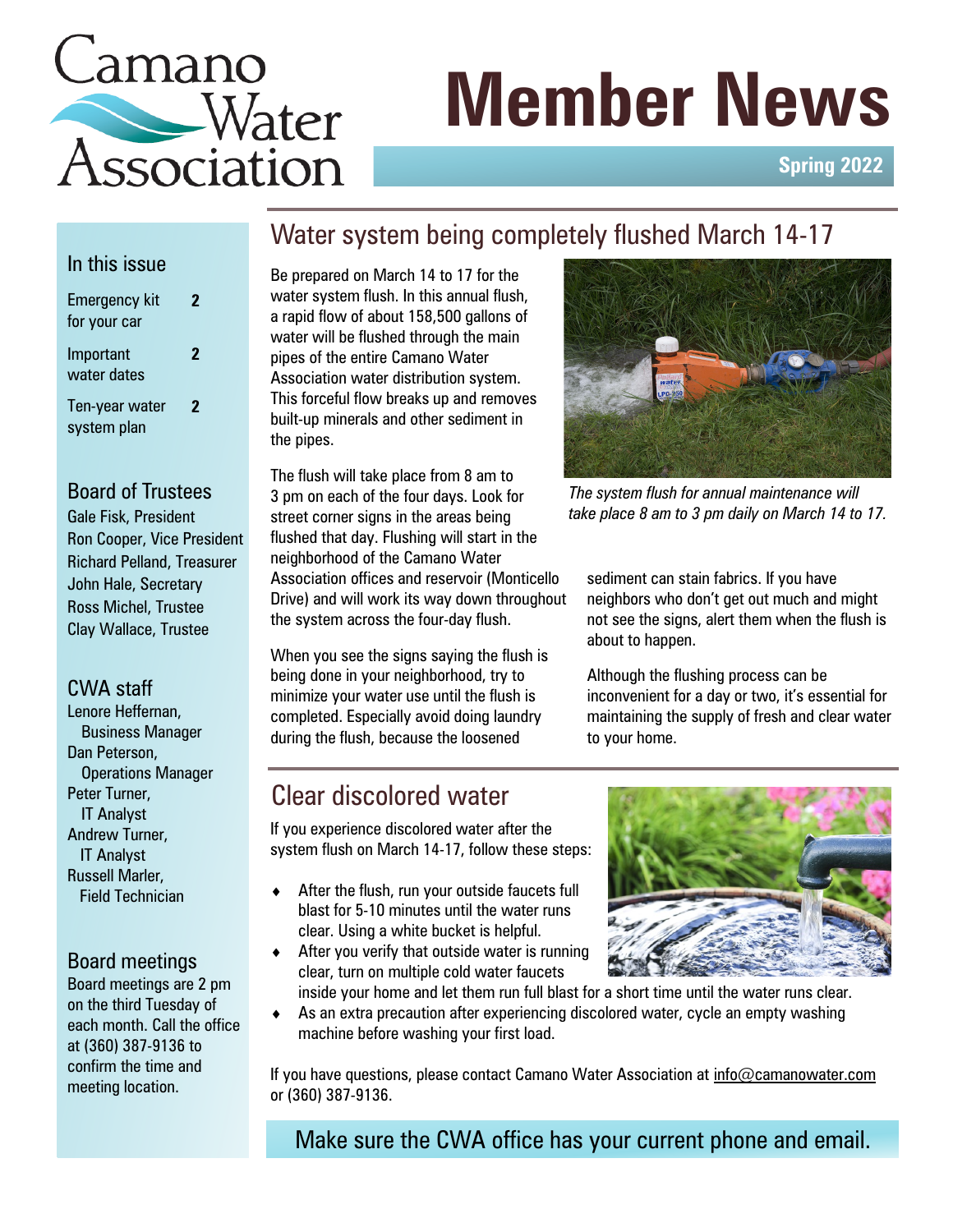# Lamano Water **Member News**<br>Association

**Spring 2022**

# In this issue

| Emergency kit<br>for your car | 2                   |
|-------------------------------|---------------------|
| Important<br>water dates      | 2                   |
| Ten-year water<br>system plan | $\boldsymbol{\eta}$ |

### Board of Trustees

Gale Fisk, President Ron Cooper, Vice President Richard Pelland, Treasurer John Hale, Secretary Ross Michel, Trustee Clay Wallace, Trustee

#### CWA staff

Lenore Heffernan, Business Manager Dan Peterson, Operations Manager Peter Turner, IT Analyst Andrew Turner, IT Analyst Russell Marler, Field Technician

# Board meetings

Board meetings are 2 pm on the third Tuesday of each month. Call the office at (360) 387-9136 to confirm the time and meeting location.

Water system being completely flushed March 14-17

Be prepared on March 14 to 17 for the water system flush. In this annual flush, a rapid flow of about 158,500 gallons of water will be flushed through the main pipes of the entire Camano Water Association water distribution system. This forceful flow breaks up and removes built-up minerals and other sediment in the pipes.

The flush will take place from 8 am to 3 pm on each of the four days. Look for street corner signs in the areas being flushed that day. Flushing will start in the neighborhood of the Camano Water Association offices and reservoir (Monticello Drive) and will work its way down throughout the system across the four-day flush.

When you see the signs saying the flush is being done in your neighborhood, try to minimize your water use until the flush is completed. Especially avoid doing laundry during the flush, because the loosened



*The system flush for annual maintenance will take place 8 am to 3 pm daily on March 14 to 17.*

sediment can stain fabrics. If you have neighbors who don't get out much and might not see the signs, alert them when the flush is about to happen.

Although the flushing process can be inconvenient for a day or two, it's essential for maintaining the supply of fresh and clear water to your home.

# Clear discolored water

If you experience discolored water after the system flush on March 14-17, follow these steps:

- $\triangleleft$  After the flush, run your outside faucets full blast for 5-10 minutes until the water runs clear. Using a white bucket is helpful.
- $\triangleleft$  After you verify that outside water is running clear, turn on multiple cold water faucets



inside your home and let them run full blast for a short time until the water runs clear.

 As an extra precaution after experiencing discolored water, cycle an empty washing machine before washing your first load.

If you have questions, please contact Camano Water Association at [info@camanowater.com](mailto:info@camanowater.com) or (360) 387-9136.

Make sure the CWA office has your current phone and email.